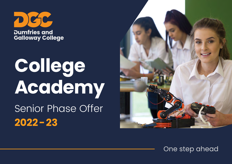

**Dumfries and Galloway College** 

## **College Academy** Senior Phase Offer **2022 - 23**



One step ahead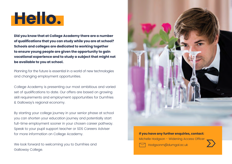### **Hello.**

**Did you know that at College Academy there are a number of qualifications that you can study while you are at school? Schools and colleges are dedicated to working together to ensure young people are given the opportunity to gain vocational experience and to study a subject that might not be available to you at school.**

Planning for the future is essential in a world of new technologies and changing employment opportunities.

College Academy is presenting our most ambitious and varied set of qualifications to date. Our offers are based on growing skill requirements and employment opportunities for Dumfries & Galloway's regional economy.

By starting your college journey in your senior phase at school you can shorten your education journey and potentially start full-time employment sooner in your chosen career pathway. Speak to your pupil support teacher or SDS Careers Adviser for more information on College Academy.

We look forward to welcoming you to Dumfries and Galloway College.



#### **If you have any further enquiries, contact:**

Michelle Hodgson - Widening Access Officer

[Hodgsonm@dumgal.ac.uk](mailto:Hodgsonm%40dumgal.ac.uk%20?subject=College%20Academy%20Senior%20Phase%20Enquiry)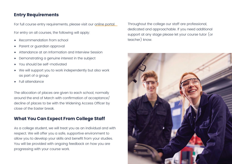#### **Entry Requirements**

For full course entry requirements, please visit our [online portal.](https://www.dumgal.ac.uk/college-academy-senior-phase-offer)

For entry on all courses, the following will apply:

- **»** Recommendation from school
- **»** Parent or guardian approval
- **»** Attendance at an Information and Interview Session
- **»** Demonstrating a genuine interest in the subject
- **»** You should be self-motivated
- **»** We will support you to work independently but also work as part of a group
- **»** Full attendance

The allocation of places are given to each school, normally around the end of March with confirmation of acceptance/ decline of places to be with the Widening Access Officer by close of the Easter break.

#### **What You Can Expect From College Staff**

As a college student, we will treat you as an individual and with respect. We will offer you a safe, supportive environment to allow you to develop your skills and benefit from your studies. You will be provided with ongoing feedback on how you are progressing with your course work.

Throughout the college our staff are professional, dedicated and approachable. If you need additional support at any stage please let your course tutor (or teacher) know.

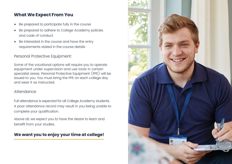#### **What We Expect From You**

- **»** Be prepared to participate fully in the course
- **»** Be prepared to adhere to College Academy policies and code of conduct
- **»** Be interested in the course and have the entry requirements stated in the course details

#### Personal Protective Equipment:

Some of the vocational options will require you to operate equipment under supervision and use tools in certain specialist areas. Personal Protective Equipment (PPE) will be issued to you. You must bring the PPE on each college day and wear it as instructed.

#### **Attendance**

Full attendance is expected for all College Academy students. A poor attendance record may result in you being unable to complete your qualification.

Above all, we expect you to have the desire to learn and benefit from your studies.

#### **We want you to enjoy your time at college!**

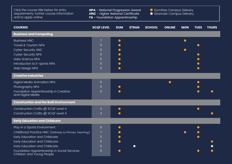Click the course title below for entry requirements, further course information and to apply online.

**NPA** - National Progression Award **HNC** - Higher National Certificate **FA** - Foundation Apprenticeship

Dumfries Campus Delivery Stranraer Campus Delivery

| <b>COURSES</b>                                                            | <b>SCQF LEVEL</b> | <b>DUM</b> | <b>STRAN</b> | <b>SCHOOL</b> | <b>ONLINE</b> | <b>MON</b> | <b>TUES</b>             | <b>THURS</b> |
|---------------------------------------------------------------------------|-------------------|------------|--------------|---------------|---------------|------------|-------------------------|--------------|
| <b>Business and Computing</b>                                             |                   |            |              |               |               |            |                         |              |
| <b>Business HNC</b>                                                       | 7                 | $\bullet$  |              |               |               | $\bullet$  |                         |              |
| Travel & Tourism NPA                                                      | 5                 |            |              |               |               |            |                         |              |
| Cyber Security HNC                                                        | 5                 |            |              |               |               |            |                         |              |
| <b>Cyber Security NPA</b>                                                 | 5                 |            |              |               |               |            |                         |              |
| Data Science NPA                                                          | 5                 |            |              |               |               |            |                         |              |
| Introduction to E-sports NPA                                              | 5                 |            |              |               |               |            |                         |              |
| Web Design NPA                                                            | 5                 | $\bullet$  |              |               |               |            |                         |              |
| <b>Creative Industries</b>                                                |                   |            |              |               |               |            |                         |              |
| Digital Media Animation NPA                                               | 5                 |            |              |               | $\bullet$     |            |                         |              |
| Photography NPA                                                           | 5                 |            |              |               |               |            |                         |              |
| Foundation Apprenticeship in Creative                                     | 6                 |            |              |               |               |            |                         |              |
| and Digital Media                                                         |                   |            |              |               |               |            |                         |              |
| <b>Construction and the Built Environment</b>                             |                   |            |              |               |               |            |                         |              |
| Construction Crafts @ SCQF Level 4                                        | 4                 | $\bullet$  |              |               |               |            |                         |              |
| Construction Crafts @ SCQF Level 4                                        | 4                 | $\bullet$  |              |               |               |            |                         |              |
| <b>Early Education and Childcare</b>                                      |                   |            |              |               |               |            |                         |              |
| Play in a Sports Environment                                              | 6                 | $\bullet$  |              |               |               |            | $\qquad \qquad \bullet$ |              |
| Childhood Practice HNC (Pathway to Primary Teaching)                      | 7                 |            |              |               |               |            |                         |              |
| Early Education and Childcare                                             | 5                 | $\bullet$  |              |               |               |            |                         |              |
| Early Education and Childcare                                             | 5                 |            |              |               |               |            |                         |              |
| Early Education and Childcare                                             | 5                 |            | $\bullet$    |               |               |            |                         |              |
| Foundation Apprenticeship in Social Services<br>Children and Young People | 6                 |            |              |               |               |            |                         |              |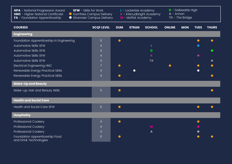**NPA** - National Progression Award **HNC** - Higher National Certificate **FA** - Foundation Apprenticeship

**SFW** - Skills for Work

Dumfries Campus Delivery

Stranraer Campus Delivery

**L** - Lockerbie Academy

**K** - Kirkcudbright Academy

**M** - Moffat Academy

**D** - Dalbeattie High **A** - Annan **TB** - The Bridge

| <b>COURSES</b>                                           | <b>SCQF LEVEL</b> | <b>DUM</b>              | <b>STRAN</b>                 | <b>SCHOOL</b> | <b>ONLINE</b> | <b>MON</b> | <b>TUES</b> | <b>THURS</b> |
|----------------------------------------------------------|-------------------|-------------------------|------------------------------|---------------|---------------|------------|-------------|--------------|
| <b>Engineering</b>                                       |                   |                         |                              |               |               |            |             |              |
| Foundation Apprenticeship in Engineering                 | 6                 | $\qquad \qquad \bullet$ |                              |               |               |            |             |              |
| Automotive Skills SFW                                    | 4                 |                         |                              |               |               |            |             |              |
| Automotive Skills SFW                                    | 4                 |                         |                              | D             |               |            |             |              |
| Automotive Skills SFW                                    | 4                 |                         |                              | K             |               |            |             |              |
| Automotive Skills SFW                                    | 4                 |                         |                              | <b>TB</b>     |               |            |             |              |
| <b>Electrical Engineering HNC</b>                        |                   |                         |                              |               |               |            |             |              |
| Renewable Energy Practical Skills                        | 4                 |                         | $\qquad \qquad \blacksquare$ |               |               |            | $\bullet$   |              |
| Renewable Energy Practical Skills                        | 4                 |                         |                              |               |               |            |             |              |
| <b>Make-Up and Beauty</b>                                |                   |                         |                              |               |               |            |             |              |
| Make-up, Hair and Beauty Skills                          | $\overline{5}$    | $\bullet$               |                              |               |               |            |             |              |
| <b>Health and Social Care</b>                            |                   |                         |                              |               |               |            |             |              |
| <b>Health and Social Care SFW</b>                        | $6\phantom{1}$    | $\bullet$               |                              |               |               |            | $\bullet$   |              |
| <b>Hospitality</b>                                       |                   |                         |                              |               |               |            |             |              |
| <b>Professional Cookery</b>                              | $\overline{4}$    | $\qquad \qquad \bullet$ |                              |               |               |            |             |              |
| <b>Professional Cookery</b>                              | 4                 |                         |                              | M             |               |            |             |              |
| <b>Professional Cookery</b>                              | 4                 |                         |                              | A             |               |            |             |              |
| Foundation Apprenticeship Food<br>and Drink Technologies | 6                 |                         |                              |               |               |            |             |              |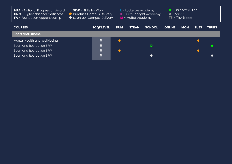**NPA** - National Progression Award **HNC** - Higher National Certificate **FA** - Foundation Apprenticeship

**SFW** - Skills for Work

Dumfries Campus Delivery Stranraer Campus Delivery **L** - Lockerbie Academy

**K** - Kirkcudbright Academy

**M** - Moffat Academy

**D** - Dalbeattie High **A** - Annan **TB** - The Bridge

| <b>COURSES</b>               | <b>SCQF LEVEL</b> | <b>DUM</b> | <b>STRAN</b> | <b>SCHOOL</b> | <b>ONLINE</b> | <b>MON</b> | <b>TUES</b> | <b>THURS</b> |
|------------------------------|-------------------|------------|--------------|---------------|---------------|------------|-------------|--------------|
| <b>Sport and Fitness</b>     |                   |            |              |               |               |            |             |              |
| Mental Health and Well-being | 5 <sup>1</sup>    |            |              |               |               |            |             |              |
| Sport and Recreation SFW     | $5\overline{)}$   |            |              | D             |               |            |             |              |
| Sport and Recreation SFW     | $\overline{5}$    |            |              |               |               |            |             |              |
| Sport and Recreation SFW     | $\overline{5}$    |            |              | $\bullet$     |               |            |             |              |
|                              |                   |            |              |               |               |            |             |              |